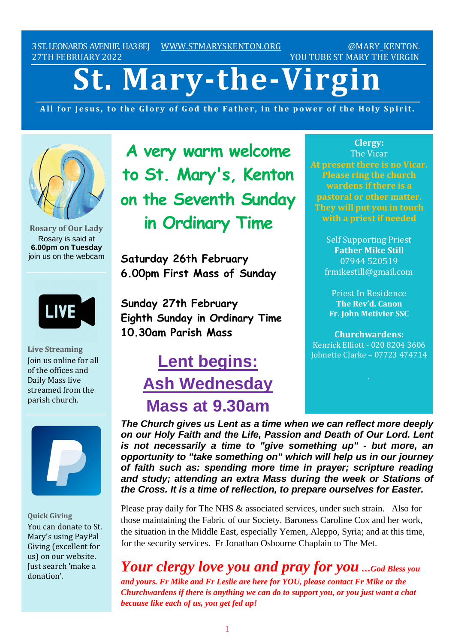3ST.LEONARDS AVENUE. HA38EJ [WWW.STMARYSKENTON.ORG](http://www.stmaryskenton.org/) @MARY\_KENTON. 27TH FEBRUARY 2022 2003 2003 2004 2005 2006 2007 2007 2007 2007 2007 2007 2008 2010 2010 2010 2010 2010 2010 20

# **St. Mary-the-Virgin**

All for Jesus, to the Glory of God the Father, in the power of the Holy Spirit.



**Rosary of Our Lady** Rosary is said at **6.00pm on Tuesday** join us on the webcam



**Live Streaming** Join us online for all of the offices and Daily Mass live streamed from the parish church.



**Quick Giving** You can donate to St. Mary's using PayPal Giving (excellent for us) on our website. Just search 'make a donation'.

**A very warm welcome to St. Mary's, Kenton on the Seventh Sunday in Ordinary Time**

**Saturday 26th February 6.00pm First Mass of Sunday**

**Sunday 27th February Eighth Sunday in Ordinary Time 10.30am Parish Mass**

# **Lent begins: Ash Wednesday Mass at 9.30am**

**Clergy:** The Vicar **At present there is no Vicar. Please ring the church wardens if there is a pastoral or other matter. They will put you in touch**

> Self Supporting Priest **Father Mike Still** 07944 520519 frmikestill@gmail.com

Priest In Residence **The Rev'd. Canon Fr. John Metivier SSC**

**Churchwardens:** Kenrick Elliott - 020 8204 3606 Johnette Clarke – 07723 474714

*The Church gives us Lent as a time when we can reflect more deeply on our Holy Faith and the Life, Passion and Death of Our Lord. Lent is not necessarily a time to "give something up" - but more, an opportunity to "take something on" which will help us in our journey of faith such as: spending more time in prayer; scripture reading and study; attending an extra Mass during the week or Stations of the Cross. It is a time of reflection, to prepare ourselves for Easter.*

Please pray daily for The NHS & associated services, under such strain. Also for those maintaining the Fabric of our Society. Baroness Caroline Cox and her work, the situation in the Middle East, especially Yemen, Aleppo, Syria; and at this time, for the security services. Fr Jonathan Osbourne Chaplain to The Met.

# *Your clergy love you and pray for you …God Bless you*

*and yours. Fr Mike and Fr Leslie are here for YOU, please contact Fr Mike or the Churchwardens if there is anything we can do to support you, or you just want a chat because like each of us, you get fed up!*